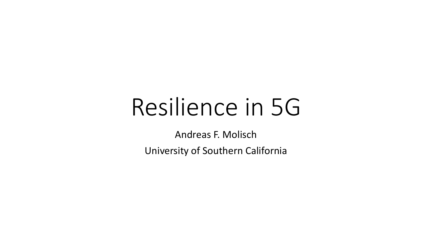# Resilience in 5G

Andreas F. Molisch

University of Southern California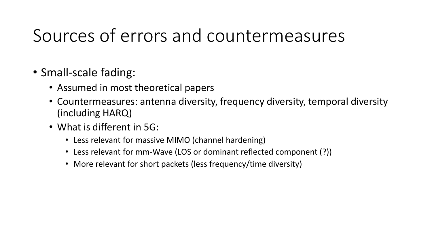### Sources of errors and countermeasures

- Small-scale fading:
	- Assumed in most theoretical papers
	- Countermeasures: antenna diversity, frequency diversity, temporal diversity (including HARQ)
	- What is different in 5G:
		- Less relevant for massive MIMO (channel hardening)
		- Less relevant for mm-Wave (LOS or dominant reflected component (?))
		- More relevant for short packets (less frequency/time diversity)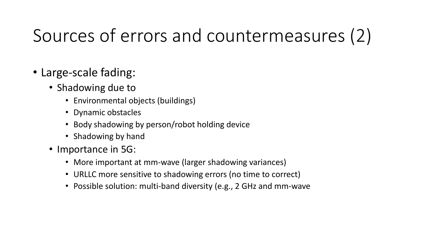### Sources of errors and countermeasures (2)

- Large-scale fading:
	- Shadowing due to
		- Environmental objects (buildings)
		- Dynamic obstacles
		- Body shadowing by person/robot holding device
		- Shadowing by hand
	- Importance in 5G:
		- More important at mm-wave (larger shadowing variances)
		- URLLC more sensitive to shadowing errors (no time to correct)
		- Possible solution: multi-band diversity (e.g., 2 GHz and mm-wave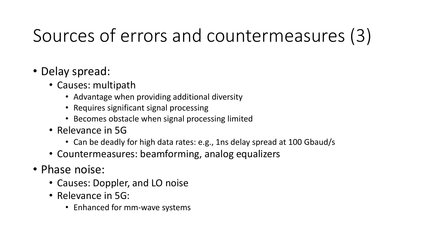## Sources of errors and countermeasures (3)

- Delay spread:
	- Causes: multipath
		- Advantage when providing additional diversity
		- Requires significant signal processing
		- Becomes obstacle when signal processing limited
	- Relevance in 5G
		- Can be deadly for high data rates: e.g., 1ns delay spread at 100 Gbaud/s
	- Countermeasures: beamforming, analog equalizers
- Phase noise:
	- Causes: Doppler, and LO noise
	- Relevance in 5G:
		- Enhanced for mm-wave systems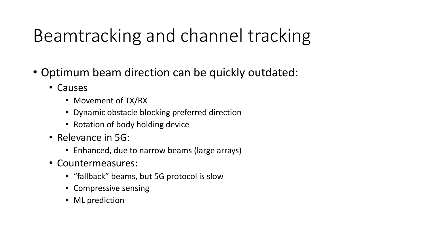### Beamtracking and channel tracking

- Optimum beam direction can be quickly outdated:
	- Causes
		- Movement of TX/RX
		- Dynamic obstacle blocking preferred direction
		- Rotation of body holding device
	- Relevance in 5G:
		- Enhanced, due to narrow beams (large arrays)
	- Countermeasures:
		- "fallback" beams, but 5G protocol is slow
		- Compressive sensing
		- ML prediction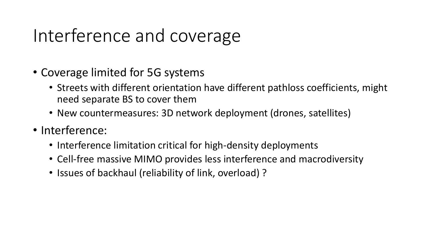#### Interference and coverage

- Coverage limited for 5G systems
	- Streets with different orientation have different pathloss coefficients, might need separate BS to cover them
	- New countermeasures: 3D network deployment (drones, satellites)
- Interference:
	- Interference limitation critical for high-density deployments
	- Cell-free massive MIMO provides less interference and macrodiversity
	- Issues of backhaul (reliability of link, overload) ?